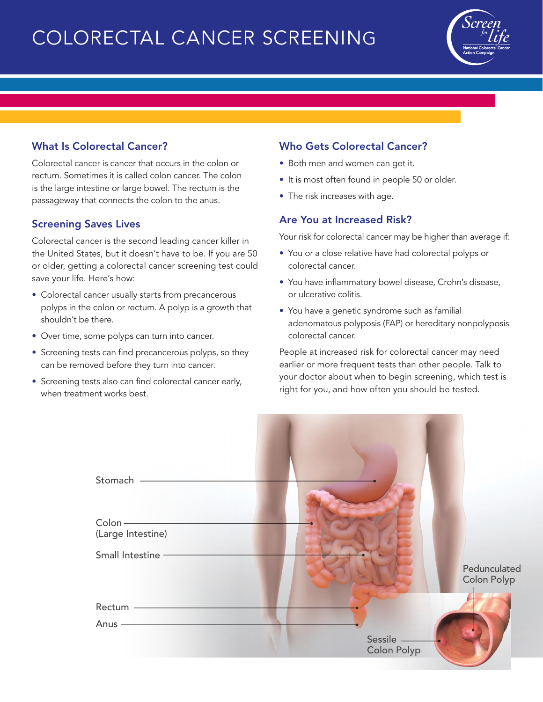# COLORECTAL CANCER SCREENING



## What Is Colorectal Cancer?

Colorectal cancer is cancer that occurs in the colon or rectum. Sometimes it is called colon cancer. The colon is the large intestine or large bowel. The rectum is the passageway that connects the colon to the anus.

#### Screening Saves Lives

Colorectal cancer is the second leading cancer killer in the United States, but it doesn't have to be. If you are 50 or older, getting a colorectal cancer screening test could save your life. Here's how:

- Colorectal cancer usually starts from precancerous polyps in the colon or rectum. A polyp is a growth that shouldn't be there.
- Over time, some polyps can turn into cancer.
- Screening tests can find precancerous polyps, so they can be removed before they turn into cancer.
- Screening tests also can find colorectal cancer early, when treatment works best.

### Who Gets Colorectal Cancer?

- Both men and women can get it.
- It is most often found in people 50 or older.
- The risk increases with age.

#### Are You at Increased Risk?

Your risk for colorectal cancer may be higher than average if:

- You or a close relative have had colorectal polyps or colorectal cancer.
- You have inflammatory bowel disease, Crohn's disease, or ulcerative colitis.
- You have a genetic syndrome such as familial adenomatous polyposis (FAP) or hereditary nonpolyposis colorectal cancer.

People at increased risk for colorectal cancer may need earlier or more frequent tests than other people. Talk to your doctor about when to begin screening, which test is right for you, and how often you should be tested.